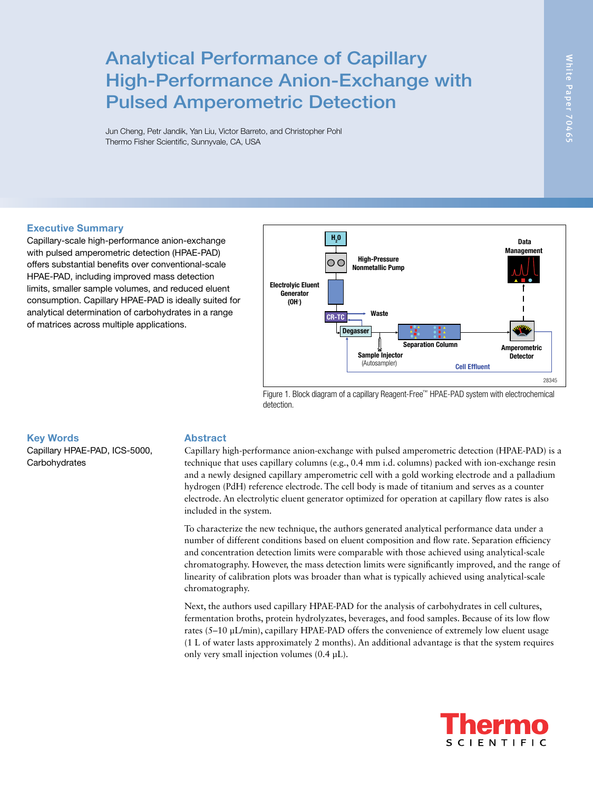# Analytical Performance of Capillary High-Performance Anion-Exchange with Pulsed Amperometric Detection

Jun Cheng, Petr Jandik, Yan Liu, Victor Barreto, and Christopher Pohl Thermo Fisher Scientific, Sunnyvale, CA, USA

# Executive Summary

Capillary-scale high-performance anion-exchange with pulsed amperometric detection (HPAE-PAD) offers substantial benefits over conventional-scale HPAE-PAD, including improved mass detection limits, smaller sample volumes, and reduced eluent consumption. Capillary HPAE-PAD is ideally suited for analytical determination of carbohydrates in a range of matrices across multiple applications.



Figure 1. Block diagram of a capillary Reagent-Free™ HPAE-PAD system with electrochemical detection.

## Key Words

Capillary HPAE-PAD, ICS-5000, **Carbohydrates** 

# Abstract

Capillary high-performance anion-exchange with pulsed amperometric detection (HPAE-PAD) is a technique that uses capillary columns (e.g., 0.4 mm i.d. columns) packed with ion-exchange resin and a newly designed capillary amperometric cell with a gold working electrode and a palladium hydrogen (PdH) reference electrode. The cell body is made of titanium and serves as a counter electrode. An electrolytic eluent generator optimized for operation at capillary flow rates is also included in the system.

To characterize the new technique, the authors generated analytical performance data under a number of different conditions based on eluent composition and flow rate. Separation efficiency and concentration detection limits were comparable with those achieved using analytical-scale chromatography. However, the mass detection limits were significantly improved, and the range of linearity of calibration plots was broader than what is typically achieved using analytical-scale chromatography.

Next, the authors used capillary HPAE-PAD for the analysis of carbohydrates in cell cultures, fermentation broths, protein hydrolyzates, beverages, and food samples. Because of its low flow rates (5–10 μL/min), capillary HPAE-PAD offers the convenience of extremely low eluent usage (1 L of water lasts approximately 2 months). An additional advantage is that the system requires only very small injection volumes (0.4 μL).

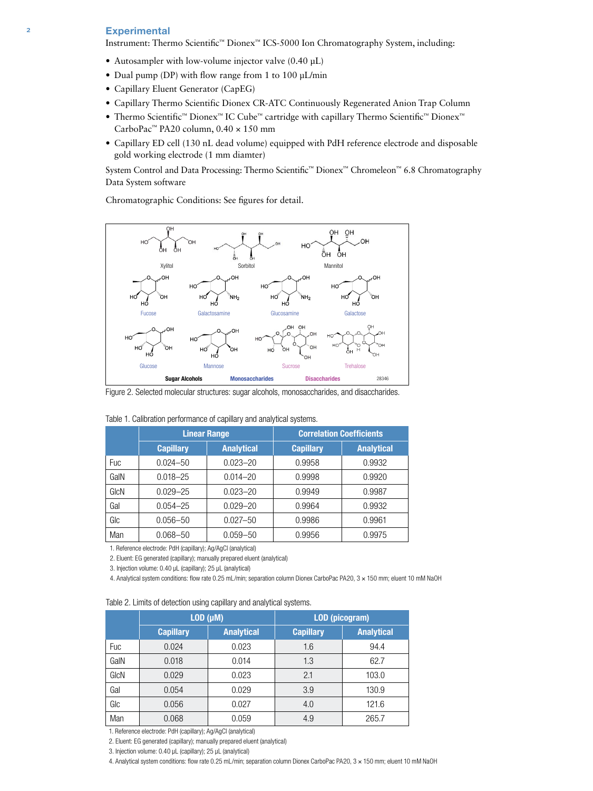#### **Experimental**

Instrument: Thermo Scientific™ Dionex™ ICS-5000 Ion Chromatography System, including:

- Autosampler with low-volume injector valve (0.40 µL)
- Dual pump (DP) with flow range from 1 to 100 µL/min
- Capillary Eluent Generator (CapEG)
- Capillary Thermo Scientific Dionex CR-ATC Continuously Regenerated Anion Trap Column
- Thermo Scientific™ Dionex™ IC Cube™ cartridge with capillary Thermo Scientific™ Dionex™ CarboPac™ PA20 column,  $0.40 \times 150$  mm
- Capillary ED cell (130 nL dead volume) equipped with PdH reference electrode and disposable gold working electrode (1 mm diamter)

System Control and Data Processing: Thermo Scientific™ Dionex™ Chromeleon™ 6.8 Chromatography Data System software

Chromatographic Conditions: See figures for detail.



Figure 2. Selected molecular structures: sugar alcohols, monosaccharides, and disaccharides.

|            | <b>Linear Range</b> |                   | <b>Correlation Coefficients</b> |                   |  |
|------------|---------------------|-------------------|---------------------------------|-------------------|--|
|            | <b>Capillary</b>    | <b>Analytical</b> | <b>Capillary</b>                | <b>Analytical</b> |  |
| <b>Fuc</b> | $0.024 - 50$        | $0.023 - 20$      | 0.9958                          | 0.9932            |  |
| GaIN       | $0.018 - 25$        | $0.014 - 20$      | 0.9998                          | 0.9920            |  |
| GIcN       | $0.029 - 25$        | $0.023 - 20$      | 0.9949                          | 0.9987            |  |
| Gal        | $0.054 - 25$        | $0.029 - 20$      | 0.9964                          | 0.9932            |  |
| GIc        | $0.056 - 50$        | $0.027 - 50$      | 0.9986                          | 0.9961            |  |
| Man        | $0.068 - 50$        | $0.059 - 50$      | 0.9956                          | 0.9975            |  |

Table 1. Calibration performance of capillary and analytical systems.

1. Reference electrode: PdH (capillary); Ag/AgCl (analytical)

2. Eluent: EG generated (capillary); manually prepared eluent (analytical)

3. Injection volume: 0.40 µL (capillary); 25 µL (analytical)

4. Analytical system conditions: flow rate 0.25 mL/min; separation column Dionex CarboPac PA20, 3 × 150 mm; eluent 10 mM NaOH

| Table 2. Limits of detection using capillary and analytical systems. |  |  |  |  |
|----------------------------------------------------------------------|--|--|--|--|
|                                                                      |  |  |  |  |

|            | LOD (µM)         |                   | <b>LOD</b> (picogram) |                   |  |
|------------|------------------|-------------------|-----------------------|-------------------|--|
|            | <b>Capillary</b> | <b>Analytical</b> | <b>Capillary</b>      | <b>Analytical</b> |  |
| <b>Fuc</b> | 0.024            | 0.023             | 1.6                   | 94.4              |  |
| GalN       | 0.018            | 0.014             | 1.3                   | 62.7              |  |
| GIcN       | 0.029            | 0.023             | 2.1                   | 103.0             |  |
| Gal        | 0.054            | 0.029             | 3.9                   | 130.9             |  |
| GIc        | 0.056            | 0.027             | 4.0                   | 121.6             |  |
| Man        | 0.068            | 0.059             | 4.9                   | 265.7             |  |

1. Reference electrode: PdH (capillary); Ag/AgCl (analytical)

2. Eluent: EG generated (capillary); manually prepared eluent (analytical)

3. Injection volume: 0.40 µL (capillary); 25 µL (analytical)

4. Analytical system conditions: flow rate 0.25 mL/min; separation column Dionex CarboPac PA20, 3 × 150 mm; eluent 10 mM NaOH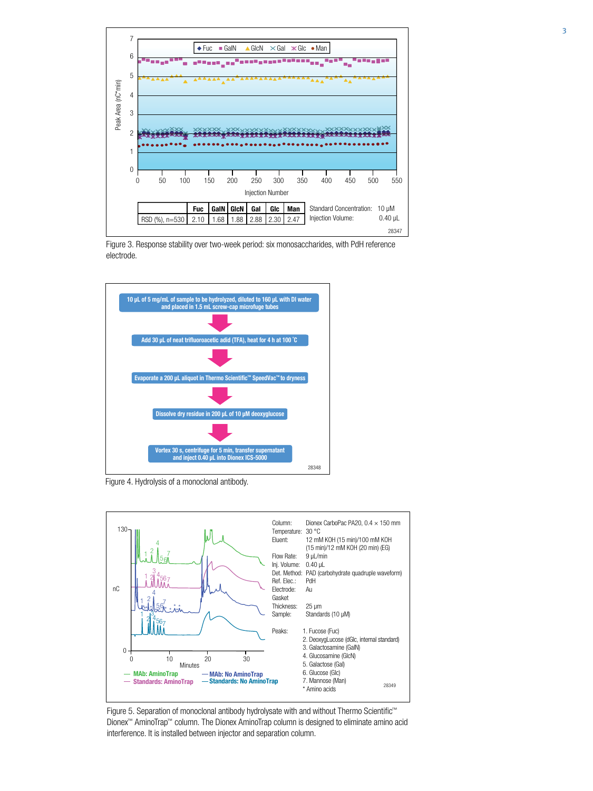

Figure 3. Response stability over two-week period: six monosaccharides, with PdH reference electrode.



Figure 4. Hydrolysis of a monoclonal antibody.



Figure 5. Separation of monoclonal antibody hydrolysate with and without Thermo Scientific™ Dionex™ AminoTrap™ column. The Dionex AminoTrap column is designed to eliminate amino acid interference. It is installed between injector and separation column.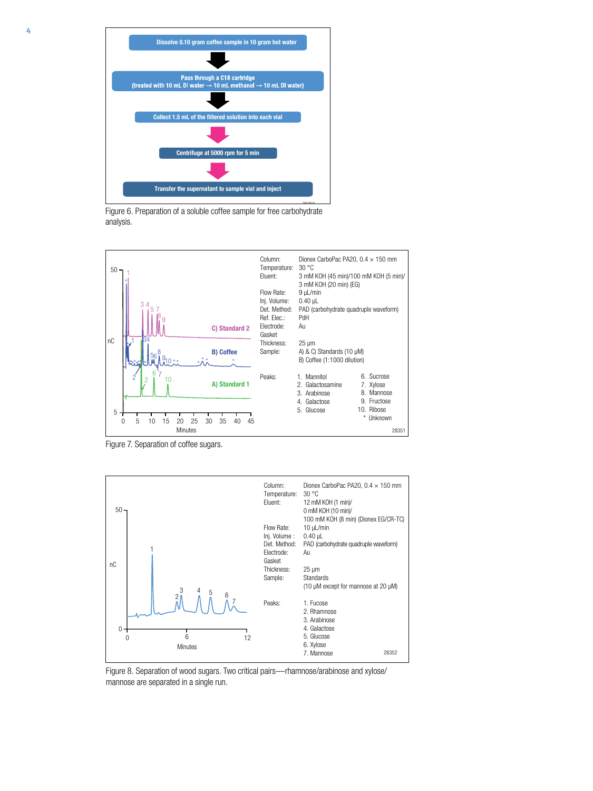

Letter 6. Preparation of a soluble coffee sample for free carbohydrate analysis.



Figure 7. Separation of coffee sugars.



Figure 8. Separation of wood sugars. Two critical pairs—rhamnose/arabinose and xylose/ mannose are separated in a single run.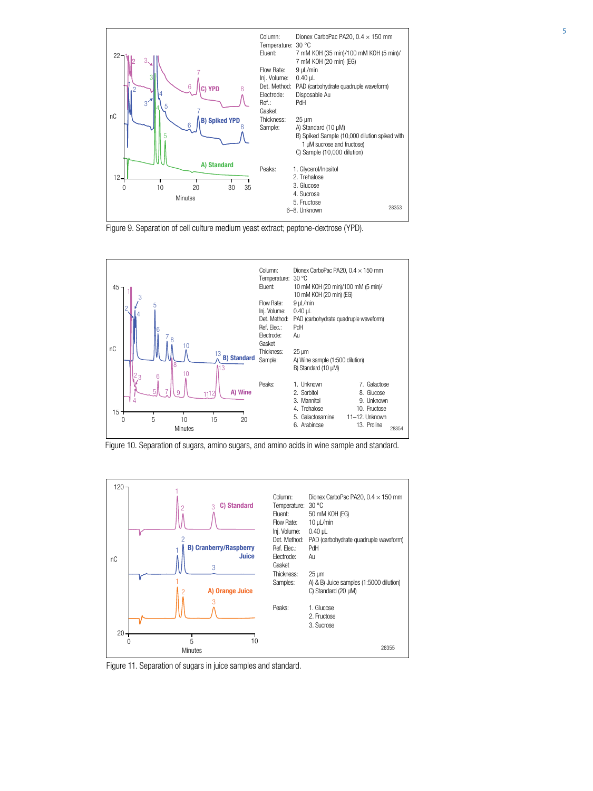

Figure 9. Separation of cell culture medium yeast extract; peptone-dextrose (YPD).



Figure 10. Separation of sugars, amino sugars, and amino acids in wine sample and standard.



Figure 11. Separation of sugars in juice samples and standard.